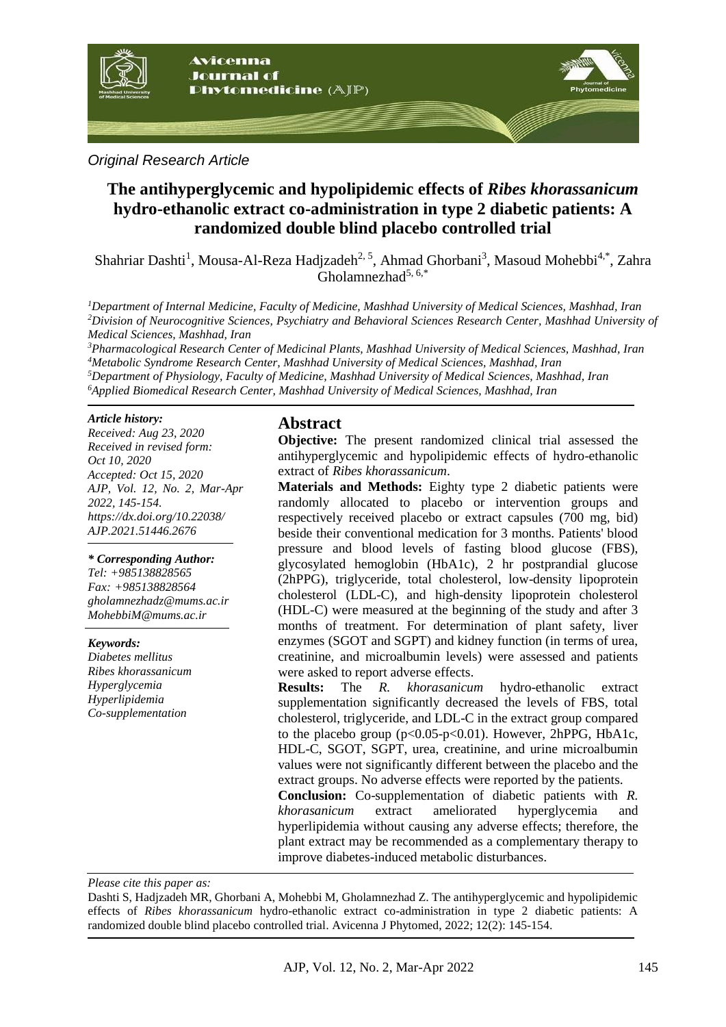

### *Original Research Article*

# **The antihyperglycemic and hypolipidemic effects of** *Ribes khorassanicum* **hydro-ethanolic extract co-administration in type 2 diabetic patients: A randomized double blind placebo controlled trial**

Shahriar Dashti<sup>1</sup>, Mousa-Al-Reza Hadjzadeh<sup>2, 5</sup>, Ahmad Ghorbani<sup>3</sup>, Masoud Mohebbi<sup>4,\*</sup>, Zahra  $G$ holamnezhad<sup>5, 6,\*</sup>

*<sup>1</sup>Department of Internal Medicine, Faculty of Medicine, Mashhad University of Medical Sciences, Mashhad, Iran <sup>2</sup>Division of Neurocognitive Sciences, Psychiatry and Behavioral Sciences Research Center, Mashhad University of Medical Sciences, Mashhad, Iran*

*Pharmacological Research Center of Medicinal Plants, Mashhad University of Medical Sciences, Mashhad, Iran Metabolic Syndrome Research Center, Mashhad University of Medical Sciences, Mashhad, Iran Department of Physiology, Faculty of Medicine, Mashhad University of Medical Sciences, Mashhad, Iran Applied Biomedical Research Center, Mashhad University of Medical Sciences, Mashhad, Iran*

#### *Article history:*

*Received: Aug 23, 2020 Received in revised form: Oct 10, 2020 Accepted: Oct 15, 2020 AJP, Vol. 12, No. 2, Mar-Apr 2022, 145-154. https://dx.doi.org/10.22038/ AJP.2021.51446.2676*

#### *\* Corresponding Author:*

*Tel: +985138828565 Fax: +985138828564 gholamnezhadz@mums.ac.ir MohebbiM@mums.ac.ir*

#### *Keywords:*

*Diabetes mellitus Ribes khorassanicum Hyperglycemia Hyperlipidemia Co-supplementation*

### **Abstract**

**Objective:** The present randomized clinical trial assessed the antihyperglycemic and hypolipidemic effects of hydro-ethanolic extract of *Ribes khorassanicum*.

**Materials and Methods:** Eighty type 2 diabetic patients were randomly allocated to placebo or intervention groups and respectively received placebo or extract capsules (700 mg, bid) beside their conventional medication for 3 months. Patients' blood pressure and blood levels of fasting blood glucose (FBS), glycosylated hemoglobin (HbA1c), 2 hr postprandial glucose (2hPPG), triglyceride, total cholesterol, low-density lipoprotein cholesterol (LDL-C), and high-density lipoprotein cholesterol (HDL-C) were measured at the beginning of the study and after 3 months of treatment. For determination of plant safety, liver enzymes (SGOT and SGPT) and kidney function (in terms of urea, creatinine, and microalbumin levels) were assessed and patients were asked to report adverse effects.

**Results:** The *R. khorasanicum* hydro-ethanolic extract supplementation significantly decreased the levels of FBS, total cholesterol, triglyceride, and LDL-C in the extract group compared to the placebo group (p<0.05-p<0.01). However, 2hPPG, HbA1c, HDL-C, SGOT, SGPT, urea, creatinine, and urine microalbumin values were not significantly different between the placebo and the extract groups. No adverse effects were reported by the patients.

**Conclusion:** Co-supplementation of diabetic patients with *R. khorasanicum* extract ameliorated hyperglycemia and hyperlipidemia without causing any adverse effects; therefore, the plant extract may be recommended as a complementary therapy to improve diabetes-induced metabolic disturbances.

*Please cite this paper as:* 

Dashti S, Hadjzadeh MR, Ghorbani A, Mohebbi M, Gholamnezhad Z. The antihyperglycemic and hypolipidemic effects of *Ribes khorassanicum* hydro-ethanolic extract co-administration in type 2 diabetic patients: A randomized double blind placebo controlled trial. Avicenna J Phytomed, 2022; 12(2): 145-154.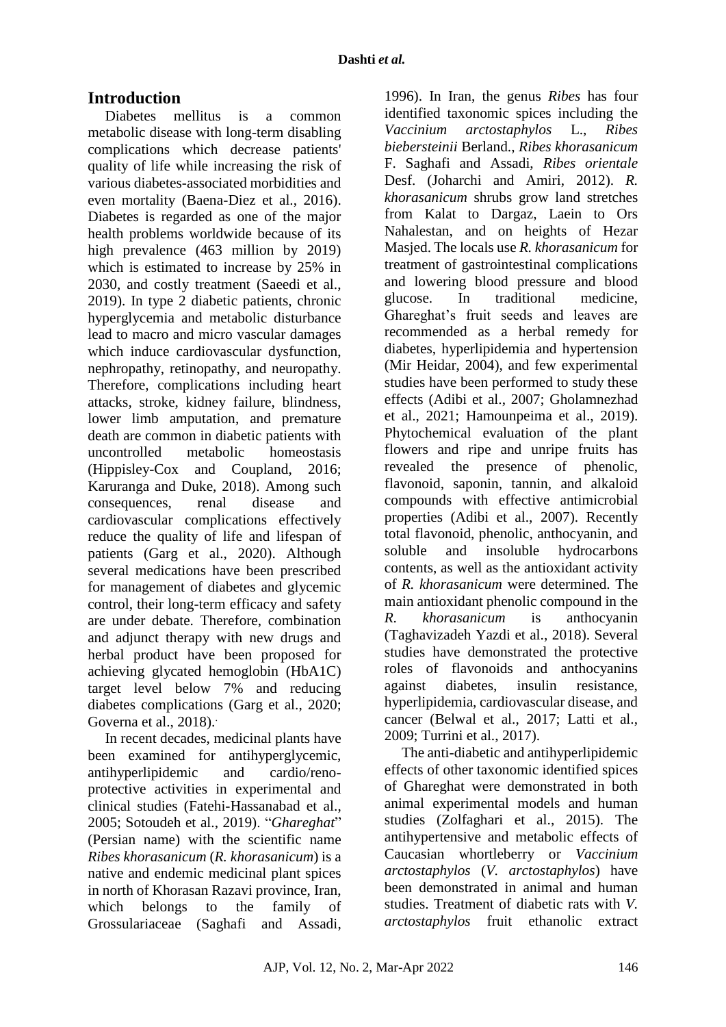# **Introduction**

Diabetes mellitus is a common metabolic disease with long-term disabling complications which decrease patients' quality of life while increasing the risk of various diabetes-associated morbidities and even mortality (Baena-Diez et al., 2016). Diabetes is regarded as one of the major health problems worldwide because of its high prevalence (463 million by 2019) which is estimated to increase by 25% in 2030, and costly treatment (Saeedi et al., 2019). In type 2 diabetic patients, chronic hyperglycemia and metabolic disturbance lead to macro and micro vascular damages which induce cardiovascular dysfunction, nephropathy, retinopathy, and neuropathy. Therefore, complications including heart attacks, stroke, kidney failure, blindness, lower limb amputation, and premature death are common in diabetic patients with uncontrolled metabolic homeostasis (Hippisley-Cox and Coupland, 2016; Karuranga and Duke, 2018). Among such consequences, renal disease and cardiovascular complications effectively reduce the quality of life and lifespan of patients (Garg et al., 2020). Although several medications have been prescribed for management of diabetes and glycemic control, their long-term efficacy and safety are under debate. Therefore, combination and adjunct therapy with new drugs and herbal product have been proposed for achieving glycated hemoglobin (HbA1C) target level below 7% and reducing diabetes complications (Garg et al., 2020; Governa et al., 2018).

In recent decades, medicinal plants have been examined for antihyperglycemic, antihyperlipidemic and cardio/renoprotective activities in experimental and clinical studies (Fatehi-Hassanabad et al., 2005; Sotoudeh et al., 2019). "*Ghareghat*" (Persian name) with the scientific name *Ribes khorasanicum* (*R. khorasanicum*) is a native and endemic medicinal plant spices in north of Khorasan Razavi province, Iran, which belongs to the family of Grossulariaceae (Saghafi and Assadi,

1996). In Iran, the genus *Ribes* has four identified taxonomic spices including the *Vaccinium arctostaphylos* L., *Ribes biebersteinii* Berland., *Ribes khorasanicum* F. Saghafi and Assadi, *Ribes orientale* Desf. (Joharchi and Amiri, 2012). *R. khorasanicum* shrubs grow land stretches from Kalat to Dargaz, Laein to Ors Nahalestan, and on heights of Hezar Masjed. The locals use *R. khorasanicum* for treatment of gastrointestinal complications and lowering blood pressure and blood glucose. In traditional medicine, Ghareghat's fruit seeds and leaves are recommended as a herbal remedy for diabetes, hyperlipidemia and hypertension (Mir Heidar, 2004), and few experimental studies have been performed to study these effects (Adibi et al., 2007; Gholamnezhad et al., 2021; Hamounpeima et al., 2019). Phytochemical evaluation of the plant flowers and ripe and unripe fruits has revealed the presence of phenolic, flavonoid, saponin, tannin, and alkaloid compounds with effective antimicrobial properties (Adibi et al., 2007). Recently total flavonoid, phenolic, anthocyanin, and soluble and insoluble hydrocarbons contents, as well as the antioxidant activity of *R. khorasanicum* were determined. The main antioxidant phenolic compound in the *R. khorasanicum* is anthocyanin (Taghavizadeh Yazdi et al., 2018). Several studies have demonstrated the protective roles of flavonoids and anthocyanins against diabetes, insulin resistance, hyperlipidemia, cardiovascular disease, and cancer (Belwal et al., 2017; Latti et al., 2009; Turrini et al., 2017).

The anti-diabetic and antihyperlipidemic effects of other taxonomic identified spices of Ghareghat were demonstrated in both animal experimental models and human studies (Zolfaghari et al., 2015). The antihypertensive and metabolic effects of Caucasian whortleberry or *Vaccinium arctostaphylos* (*V. arctostaphylos*) have been demonstrated in animal and human studies. Treatment of diabetic rats with *V. arctostaphylos* fruit ethanolic extract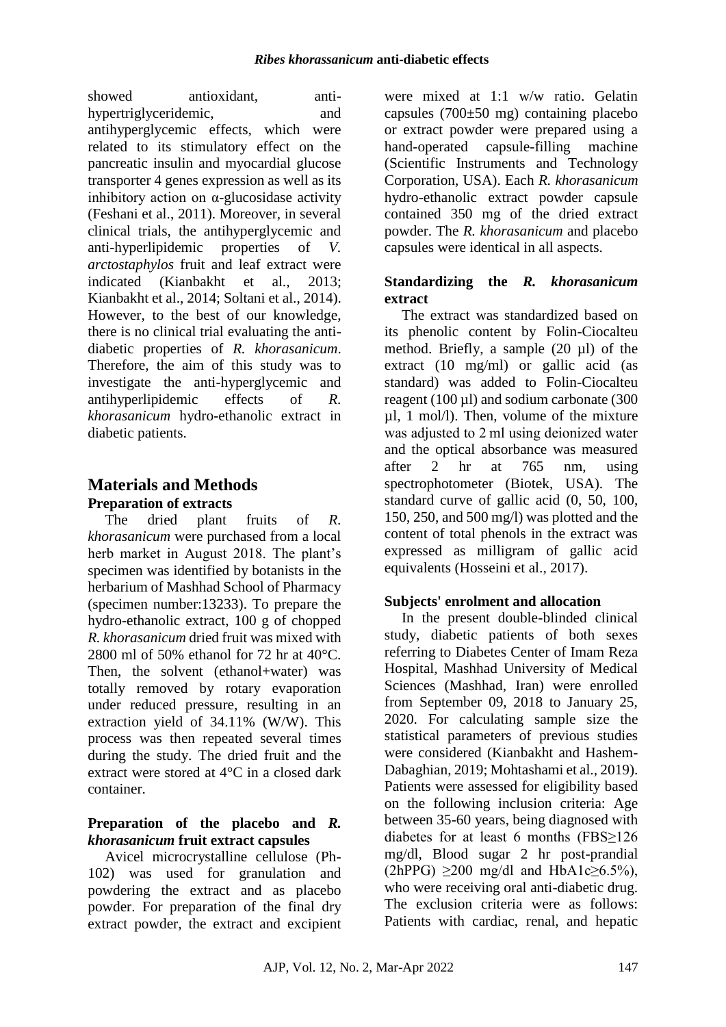showed antioxidant, antihypertriglyceridemic, and antihyperglycemic effects, which were related to its stimulatory effect on the pancreatic insulin and myocardial glucose transporter 4 genes expression as well as its inhibitory action on  $\alpha$ -glucosidase activity (Feshani et al., 2011). Moreover, in several clinical trials, the antihyperglycemic and anti-hyperlipidemic properties of *V. arctostaphylos* fruit and leaf extract were indicated (Kianbakht et al., 2013; Kianbakht et al., 2014; Soltani et al., 2014). However, to the best of our knowledge, there is no clinical trial evaluating the antidiabetic properties of *R. khorasanicum*. Therefore, the aim of this study was to investigate the anti-hyperglycemic and antihyperlipidemic effects of *R. khorasanicum* hydro-ethanolic extract in diabetic patients.

# **Materials and Methods Preparation of extracts**

The dried plant fruits of *R. khorasanicum* were purchased from a local herb market in August 2018. The plant's specimen was identified by botanists in the herbarium of Mashhad School of Pharmacy (specimen number:13233). To prepare the hydro-ethanolic extract, 100 g of chopped *R. khorasanicum* dried fruit was mixed with 2800 ml of 50% ethanol for 72 hr at 40°C. Then, the solvent (ethanol+water) was totally removed by rotary evaporation under reduced pressure, resulting in an extraction yield of 34.11% (W/W). This process was then repeated several times during the study. The dried fruit and the extract were stored at 4°C in a closed dark container.

## **Preparation of the placebo and** *R. khorasanicum* **fruit extract capsules**

Avicel microcrystalline cellulose (Ph-102) was used for granulation and powdering the extract and as placebo powder. For preparation of the final dry extract powder, the extract and excipient were mixed at 1:1 w/w ratio. Gelatin capsules (700±50 mg) containing placebo or extract powder were prepared using a hand-operated capsule-filling machine (Scientific Instruments and Technology Corporation, USA). Each *R. khorasanicum* hydro-ethanolic extract powder capsule contained 350 mg of the dried extract powder. The *R. khorasanicum* and placebo capsules were identical in all aspects.

## **Standardizing the** *R. khorasanicum* **extract**

The extract was standardized based on its phenolic content by Folin-Ciocalteu method. Briefly, a sample (20 µl) of the extract (10 mg/ml) or gallic acid (as standard) was added to Folin-Ciocalteu reagent (100 µl) and sodium carbonate (300 µl, 1 mol/l). Then, volume of the mixture was adjusted to 2 ml using deionized water and the optical absorbance was measured after 2 hr at 765 nm, using spectrophotometer (Biotek, USA). The standard curve of gallic acid (0, 50, 100, 150, 250, and 500 mg/l) was plotted and the content of total phenols in the extract was expressed as milligram of gallic acid equivalents (Hosseini et al., 2017).

## **Subjects' enrolment and allocation**

In the present double-blinded clinical study, diabetic patients of both sexes referring to Diabetes Center of Imam Reza Hospital, Mashhad University of Medical Sciences (Mashhad, Iran) were enrolled from September 09, 2018 to January 25, 2020. For calculating sample size the statistical parameters of previous studies were considered (Kianbakht and Hashem-Dabaghian, 2019; Mohtashami et al., 2019). Patients were assessed for eligibility based on the following inclusion criteria: Age between 35-60 years, being diagnosed with diabetes for at least 6 months (FBS≥126 mg/dl, Blood sugar 2 hr post-prandial  $(2hPPG) \geq 200 \text{ mg/dl}$  and HbA1c $\geq 6.5\%$ ), who were receiving oral anti-diabetic drug. The exclusion criteria were as follows: Patients with cardiac, renal, and hepatic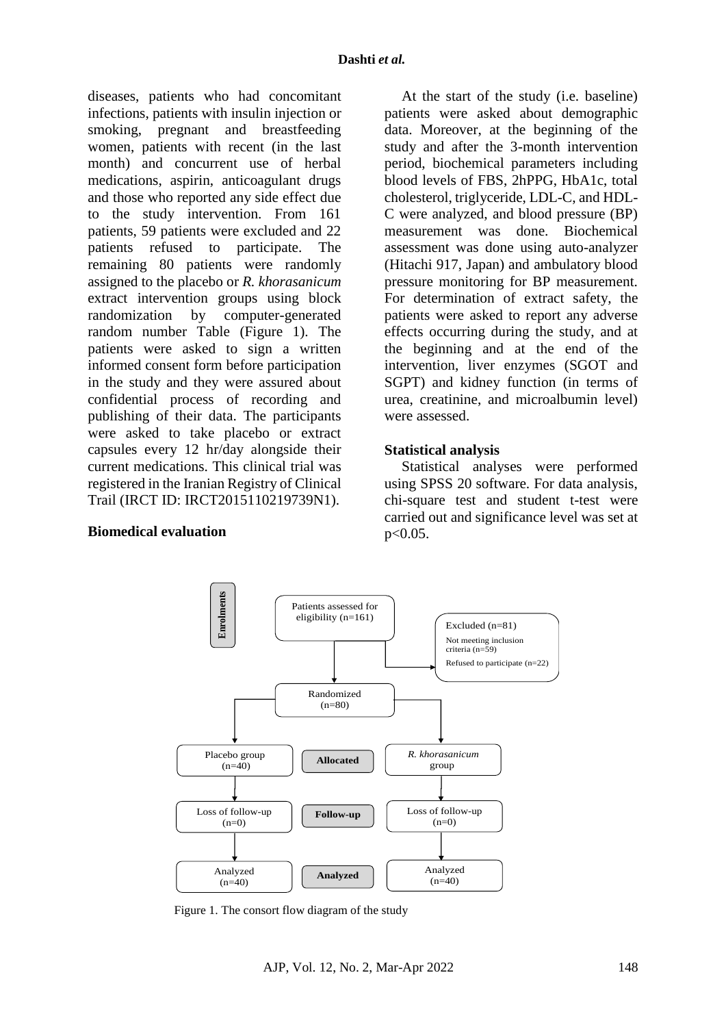diseases, patients who had concomitant infections, patients with insulin injection or smoking, pregnant and breastfeeding women, patients with recent (in the last month) and concurrent use of herbal medications, aspirin, anticoagulant drugs and those who reported any side effect due to the study intervention. From 161 patients, 59 patients were excluded and 22 patients refused to participate. The remaining 80 patients were randomly assigned to the placebo or *R. khorasanicum* extract intervention groups using block randomization by computer-generated random number Table (Figure 1). The patients were asked to sign a written informed consent form before participation in the study and they were assured about confidential process of recording and publishing of their data. The participants were asked to take placebo or extract capsules every 12 hr/day alongside their current medications. This clinical trial was registered in the Iranian Registry of Clinical Trail (IRCT ID: IRCT2015110219739N1).

At the start of the study (i.e. baseline) patients were asked about demographic data. Moreover, at the beginning of the study and after the 3-month intervention period, biochemical parameters including blood levels of FBS, 2hPPG, HbA1c, total cholesterol, triglyceride, LDL-C, and HDL-C were analyzed, and blood pressure (BP) measurement was done. Biochemical assessment was done using auto-analyzer (Hitachi 917, Japan) and ambulatory blood pressure monitoring for BP measurement. For determination of extract safety, the patients were asked to report any adverse effects occurring during the study, and at the beginning and at the end of the intervention, liver enzymes (SGOT and SGPT) and kidney function (in terms of urea, creatinine, and microalbumin level) were assessed.

#### **Statistical analysis**

Statistical analyses were performed using SPSS 20 software. For data analysis, chi-square test and student t-test were carried out and significance level was set at  $p < 0.05$ .





Figure 1. The consort flow diagram of the study.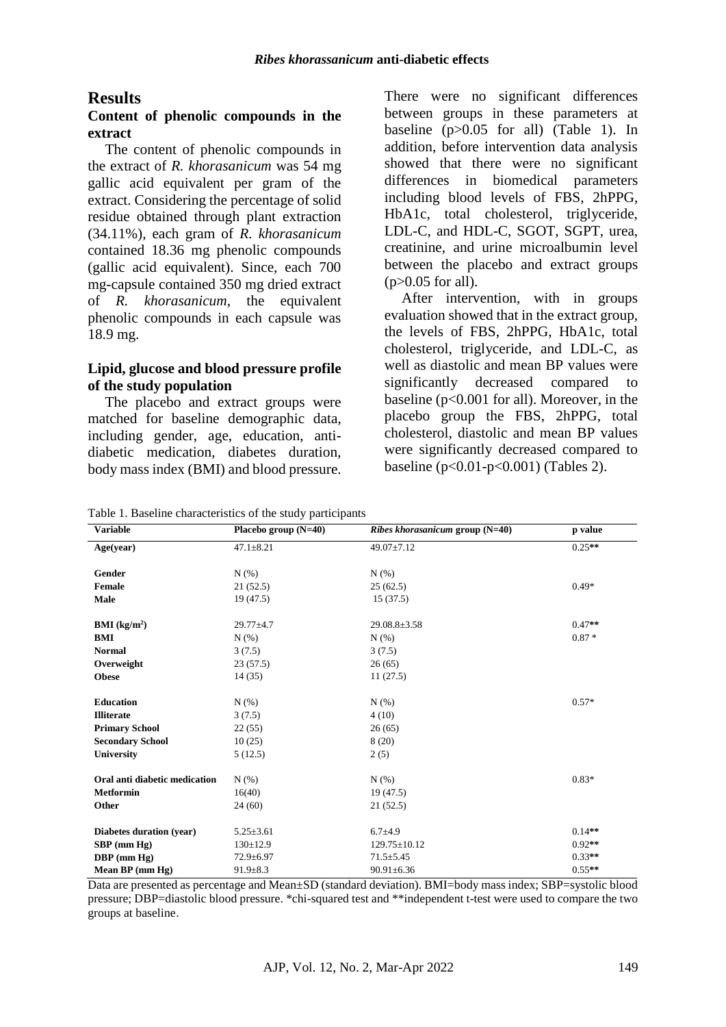### **Results**

#### **Content of phenolic compounds in the extract**

The content of phenolic compounds in the extract of *R. khorasanicum* was 54 mg gallic acid equivalent per gram of the extract. Considering the percentage of solid residue obtained through plant extraction (34.11%), each gram of *R. khorasanicum* contained 18.36 mg phenolic compounds (gallic acid equivalent). Since, each 700 mg-capsule contained 350 mg dried extract of *R. khorasanicum*, the equivalent phenolic compounds in each capsule was 18.9 mg.

#### **Lipid, glucose and blood pressure profile of the study population**

The placebo and extract groups were matched for baseline demographic data, including gender, age, education, antidiabetic medication, diabetes duration, body mass index (BMI) and blood pressure.

There were no significant differences between groups in these parameters at baseline  $(p>0.05$  for all) (Table 1). In addition, before intervention data analysis showed that there were no significant differences in biomedical parameters including blood levels of FBS, 2hPPG, HbA1c, total cholesterol, triglyceride, LDL-C, and HDL-C, SGOT, SGPT, urea, creatinine, and urine microalbumin level between the placebo and extract groups  $(p>0.05$  for all).

After intervention, with in groups evaluation showed that in the extract group, the levels of FBS, 2hPPG, HbA1c, total cholesterol, triglyceride, and LDL-C, as well as diastolic and mean BP values were significantly decreased compared to baseline (p<0.001 for all). Moreover, in the placebo group the FBS, 2hPPG, total cholesterol, diastolic and mean BP values were significantly decreased compared to baseline ( $p < 0.01-p < 0.001$ ) (Tables 2).

| Table 1. Baseline characteristics of the study participants |  |  |  |  |
|-------------------------------------------------------------|--|--|--|--|
|-------------------------------------------------------------|--|--|--|--|

| <b>Variable</b>               | Placebo group $(N=40)$ | <i>Ribes khorasanicum</i> group $(N=40)$ | p value  |
|-------------------------------|------------------------|------------------------------------------|----------|
| Age(year)                     | $47.1 \pm 8.21$        | 49.07±7.12                               | $0.25**$ |
| Gender                        | N(% )                  | N(%)                                     |          |
|                               |                        |                                          | $0.49*$  |
| Female                        | 21(52.5)               | 25(62.5)                                 |          |
| Male                          | 19(47.5)               | 15(37.5)                                 |          |
| <b>BMI</b> ( $kg/m2$ )        | $29.77 \pm 4.7$        | $29.08.8 \pm 3.58$                       | $0.47**$ |
| <b>BMI</b>                    | N(% )                  | N(% )                                    | $0.87*$  |
| <b>Normal</b>                 | 3(7.5)                 | 3(7.5)                                   |          |
| Overweight                    | 23(57.5)               | 26(65)                                   |          |
| <b>Obese</b>                  | 14(35)                 | 11(27.5)                                 |          |
| <b>Education</b>              | N(% )                  | N(%)                                     | $0.57*$  |
| <b>Illiterate</b>             | 3(7.5)                 | 4(10)                                    |          |
| <b>Primary School</b>         | 22(55)                 | 26(65)                                   |          |
| <b>Secondary School</b>       | 10(25)                 | 8(20)                                    |          |
| <b>University</b>             | 5(12.5)                | 2(5)                                     |          |
| Oral anti diabetic medication | N(% )                  | N(%)                                     | $0.83*$  |
| <b>Metformin</b>              | 16(40)                 | 19(47.5)                                 |          |
| Other                         | 24(60)                 | 21(52.5)                                 |          |
|                               |                        |                                          |          |
| Diabetes duration (year)      | $5.25 \pm 3.61$        | $6.7 + 4.9$                              | $0.14**$ |
| SBP (mm Hg)                   | $130 \pm 12.9$         | 129.75±10.12                             | $0.92**$ |
| DBP (mm Hg)                   | 72.9±6.97              | $71.5 + 5.45$                            | $0.33**$ |
| Mean BP (mm Hg)               | $91.9 \pm 8.3$         | $90.91 \pm 6.36$                         | $0.55**$ |

Data are presented as percentage and Mean±SD (standard deviation). BMI=body mass index; SBP=systolic blood pressure; DBP=diastolic blood pressure. \*chi-squared test and \*\*independent t-test were used to compare the two groups at baseline.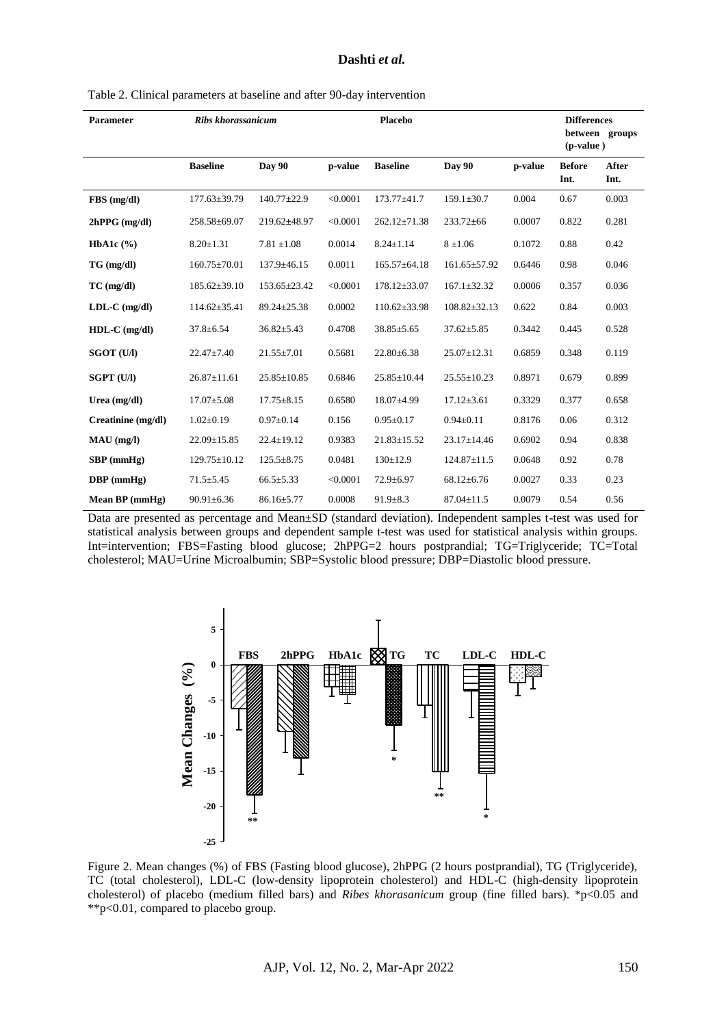#### **Dashti** *et al.*

| Table 2. Clinical parameters at baseline and after 90-day intervention |  |  |  |  |  |
|------------------------------------------------------------------------|--|--|--|--|--|
|------------------------------------------------------------------------|--|--|--|--|--|

| <b>Parameter</b>   | <b>Ribs khorassanicum</b> |                    | <b>Placebo</b> |                    |                    |                               | <b>Differences</b>    |               |
|--------------------|---------------------------|--------------------|----------------|--------------------|--------------------|-------------------------------|-----------------------|---------------|
|                    |                           |                    |                |                    |                    | between groups<br>$(p-value)$ |                       |               |
|                    | <b>Baseline</b>           | Day 90             | p-value        | <b>Baseline</b>    | Day 90             | p-value                       | <b>Before</b><br>Int. | After<br>Int. |
| FBS (mg/dl)        | 177.63±39.79              | $140.77 \pm 22.9$  | < 0.0001       | $173.77 + 41.7$    | $159.1 \pm 30.7$   | 0.004                         | 0.67                  | 0.003         |
| $2hPPG$ (mg/dl)    | 258.58±69.07              | 219.62±48.97       | < 0.0001       | $262.12 \pm 71.38$ | $233.72\pm 66$     | 0.0007                        | 0.822                 | 0.281         |
| HbA1c $(\% )$      | $8.20 \pm 1.31$           | $7.81 \pm 1.08$    | 0.0014         | $8.24 \pm 1.14$    | $8 \pm 1.06$       | 0.1072                        | 0.88                  | 0.42          |
| TG (mg/dl)         | $160.75 \pm 70.01$        | $137.9 + 46.15$    | 0.0011         | $165.57 \pm 64.18$ | $161.65 \pm 57.92$ | 0.6446                        | 0.98                  | 0.046         |
| $TC$ (mg/dl)       | $185.62 \pm 39.10$        | $153.65 \pm 23.42$ | < 0.0001       | $178.12 \pm 33.07$ | $167.1 \pm 32.32$  | 0.0006                        | 0.357                 | 0.036         |
| $LDL-C$ (mg/dl)    | $114.62 \pm 35.41$        | 89.24±25.38        | 0.0002         | $110.62{\pm}33.98$ | $108.82 \pm 32.13$ | 0.622                         | 0.84                  | 0.003         |
| $HDL-C$ (mg/dl)    | $37.8 \pm 6.54$           | $36.82 \pm 5.43$   | 0.4708         | $38.85 \pm 5.65$   | $37.62 \pm 5.85$   | 0.3442                        | 0.445                 | 0.528         |
| <b>SGOT (U/I)</b>  | $22.47 \pm 7.40$          | $21.55 \pm 7.01$   | 0.5681         | $22.80 \pm 6.38$   | $25.07 \pm 12.31$  | 0.6859                        | 0.348                 | 0.119         |
| <b>SGPT (U/I)</b>  | $26.87 \pm 11.61$         | $25.85 \pm 10.85$  | 0.6846         | $25.85 \pm 10.44$  | $25.55 \pm 10.23$  | 0.8971                        | 0.679                 | 0.899         |
| Urea $(mg/dl)$     | $17.07 \pm 5.08$          | $17.75 \pm 8.15$   | 0.6580         | $18.07 + 4.99$     | $17.12 \pm 3.61$   | 0.3329                        | 0.377                 | 0.658         |
| Creatinine (mg/dl) | $1.02 \pm 0.19$           | $0.97 \pm 0.14$    | 0.156          | $0.95 \pm 0.17$    | $0.94 \pm 0.11$    | 0.8176                        | 0.06                  | 0.312         |
| $MAU$ (mg/l)       | $22.09 \pm 15.85$         | $22.4 \pm 19.12$   | 0.9383         | $21.83 \pm 15.52$  | $23.17 \pm 14.46$  | 0.6902                        | 0.94                  | 0.838         |
| $SBP$ (mmHg)       | $129.75 \pm 10.12$        | $125.5 + 8.75$     | 0.0481         | $130 \pm 12.9$     | $124.87 \pm 11.5$  | 0.0648                        | 0.92                  | 0.78          |
| $DBP$ (mmHg)       | $71.5 \pm 5.45$           | $66.5 \pm 5.33$    | < 0.0001       | $72.9 \pm 6.97$    | $68.12 \pm 6.76$   | 0.0027                        | 0.33                  | 0.23          |
| Mean BP (mmHg)     | $90.91 \pm 6.36$          | $86.16 \pm 5.77$   | 0.0008         | $91.9 \pm 8.3$     | $87.04 \pm 11.5$   | 0.0079                        | 0.54                  | 0.56          |

Data are presented as percentage and Mean±SD (standard deviation). Independent samples t-test was used for statistical analysis between groups and dependent sample t-test was used for statistical analysis within groups. Int=intervention; FBS=Fasting blood glucose; 2hPPG=2 hours postprandial; TG=Triglyceride; TC=Total cholesterol; MAU=Urine Microalbumin; SBP=Systolic blood pressure; DBP=Diastolic blood pressure.



Figure 2. Mean changes (%) of FBS (Fasting blood glucose), 2hPPG (2 hours postprandial), TG (Triglyceride), TC (total cholesterol), LDL-C (low-density lipoprotein cholesterol) and HDL-C (high-density lipoprotein cholesterol) of placebo (medium filled bars) and *Ribes khorasanicum* group (fine filled bars). \*p<0.05 and \*\*p<0.01, compared to placebo group.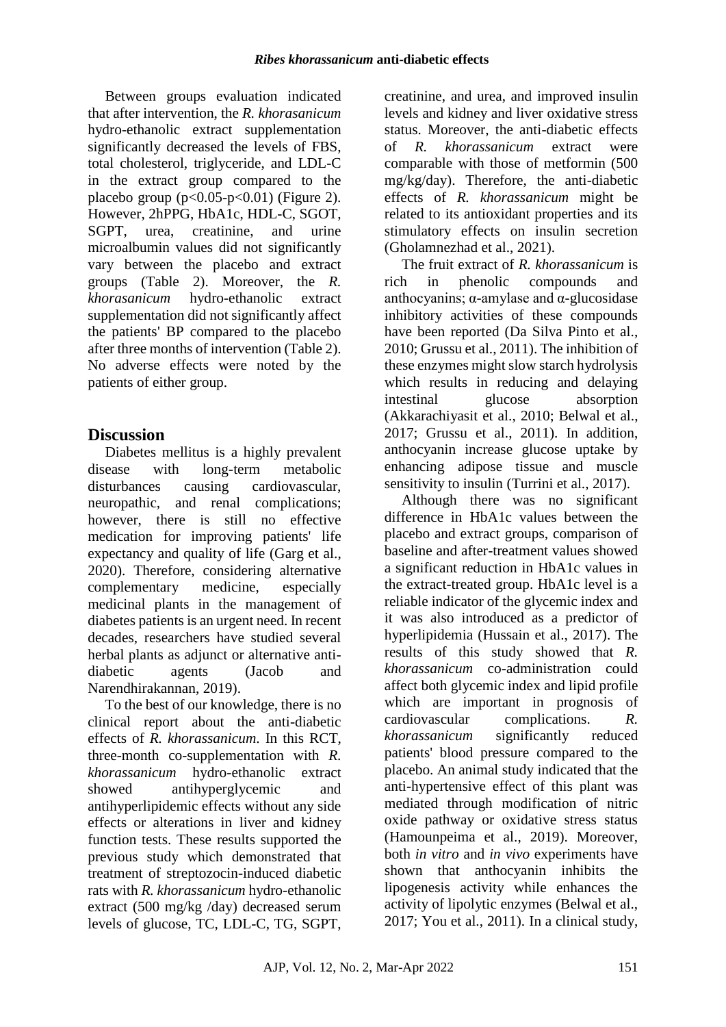Between groups evaluation indicated that after intervention, the *R. khorasanicum* hydro-ethanolic extract supplementation significantly decreased the levels of FBS, total cholesterol, triglyceride, and LDL-C in the extract group compared to the placebo group  $(p<0.05-p<0.01)$  (Figure 2). However, 2hPPG, HbA1c, HDL-C, SGOT, SGPT, urea, creatinine, and urine microalbumin values did not significantly vary between the placebo and extract groups (Table 2). Moreover, the *R. khorasanicum* hydro-ethanolic extract supplementation did not significantly affect the patients' BP compared to the placebo after three months of intervention (Table 2). No adverse effects were noted by the patients of either group.

## **Discussion**

Diabetes mellitus is a highly prevalent disease with long-term metabolic disturbances causing cardiovascular, neuropathic, and renal complications; however, there is still no effective medication for improving patients' life expectancy and quality of life (Garg et al., 2020). Therefore, considering alternative complementary medicine, especially medicinal plants in the management of diabetes patients is an urgent need. In recent decades, researchers have studied several herbal plants as adjunct or alternative antidiabetic agents (Jacob and Narendhirakannan, 2019).

To the best of our knowledge, there is no clinical report about the anti-diabetic effects of *R. khorassanicum*. In this RCT, three-month co-supplementation with *R. khorassanicum* hydro-ethanolic extract showed antihyperglycemic and antihyperlipidemic effects without any side effects or alterations in liver and kidney function tests. These results supported the previous study which demonstrated that treatment of streptozocin-induced diabetic rats with *R. khorassanicum* hydro-ethanolic extract (500 mg/kg /day) decreased serum levels of glucose, TC, LDL-C, TG, SGPT, creatinine, and urea, and improved insulin levels and kidney and liver oxidative stress status. Moreover, the anti-diabetic effects of *R. khorassanicum* extract were comparable with those of metformin (500 mg/kg/day). Therefore, the anti-diabetic effects of *R. khorassanicum* might be related to its antioxidant properties and its stimulatory effects on insulin secretion (Gholamnezhad et al., 2021).

The fruit extract of *R. khorassanicum* is rich in phenolic compounds and anthocyanins; α-amylase and α-glucosidase inhibitory activities of these compounds have been reported (Da Silva Pinto et al., 2010; Grussu et al., 2011). The inhibition of these enzymes might slow starch hydrolysis which results in reducing and delaying intestinal glucose absorption (Akkarachiyasit et al., 2010; Belwal et al., 2017; Grussu et al., 2011). In addition, anthocyanin increase glucose uptake by enhancing adipose tissue and muscle sensitivity to insulin (Turrini et al., 2017).

Although there was no significant difference in HbA1c values between the placebo and extract groups, comparison of baseline and after-treatment values showed a significant reduction in HbA1c values in the extract-treated group. HbA1c level is a reliable indicator of the glycemic index and it was also introduced as a predictor of hyperlipidemia (Hussain et al., 2017). The results of this study showed that *R. khorassanicum* co-administration could affect both glycemic index and lipid profile which are important in prognosis of cardiovascular complications. *R. khorassanicum* significantly reduced patients' blood pressure compared to the placebo. An animal study indicated that the anti-hypertensive effect of this plant was mediated through modification of nitric oxide pathway or oxidative stress status (Hamounpeima et al., 2019). Moreover, both *in vitro* and *in vivo* experiments have shown that anthocyanin inhibits the lipogenesis activity while enhances the activity of lipolytic enzymes (Belwal et al., 2017; You et al., 2011). In a clinical study,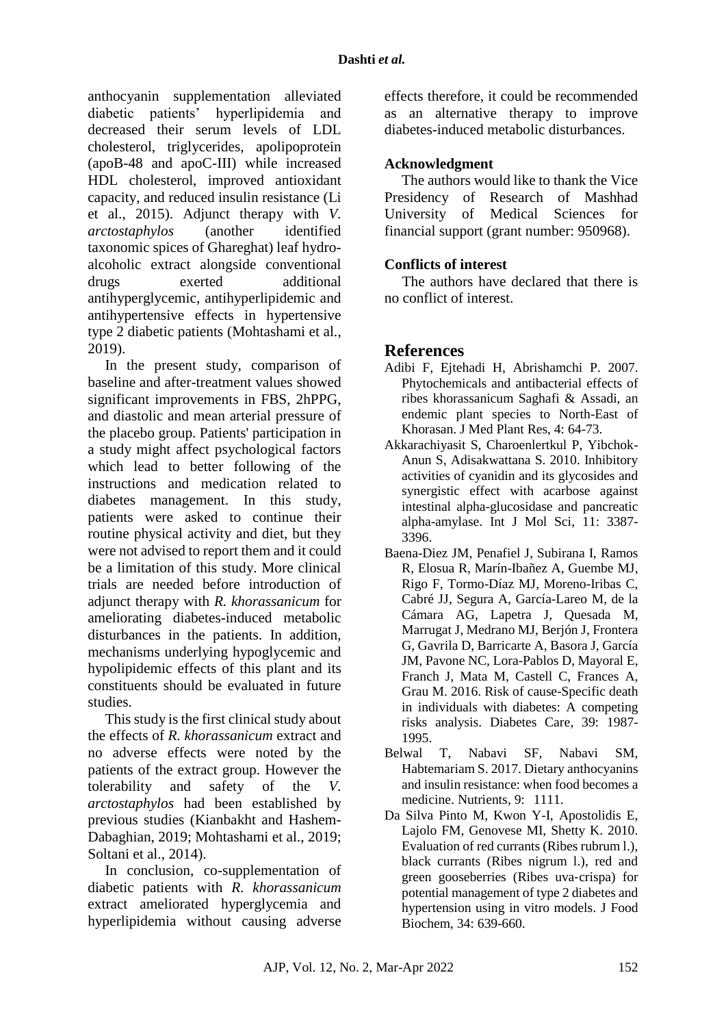anthocyanin supplementation alleviated diabetic patients' hyperlipidemia and decreased their serum levels of LDL cholesterol, triglycerides, apolipoprotein (apoB-48 and apoC-III) while increased HDL cholesterol, improved antioxidant capacity, and reduced insulin resistance (Li et al., 2015). Adjunct therapy with *V. arctostaphylos* (another identified taxonomic spices of Ghareghat) leaf hydroalcoholic extract alongside conventional drugs exerted additional antihyperglycemic, antihyperlipidemic and antihypertensive effects in hypertensive type 2 diabetic patients (Mohtashami et al., 2019).

In the present study, comparison of baseline and after-treatment values showed significant improvements in FBS, 2hPPG, and diastolic and mean arterial pressure of the placebo group. Patients' participation in a study might affect psychological factors which lead to better following of the instructions and medication related to diabetes management. In this study, patients were asked to continue their routine physical activity and diet, but they were not advised to report them and it could be a limitation of this study. More clinical trials are needed before introduction of adjunct therapy with *R. khorassanicum* for ameliorating diabetes-induced metabolic disturbances in the patients. In addition, mechanisms underlying hypoglycemic and hypolipidemic effects of this plant and its constituents should be evaluated in future studies.

This study is the first clinical study about the effects of *R. khorassanicum* extract and no adverse effects were noted by the patients of the extract group. However the tolerability and safety of the *V. arctostaphylos* had been established by previous studies (Kianbakht and Hashem-Dabaghian, 2019; Mohtashami et al., 2019; Soltani et al., 2014).

In conclusion, co-supplementation of diabetic patients with *R. khorassanicum* extract ameliorated hyperglycemia and hyperlipidemia without causing adverse

effects therefore, it could be recommended as an alternative therapy to improve diabetes-induced metabolic disturbances.

### **Acknowledgment**

The authors would like to thank the Vice Presidency of Research of Mashhad University of Medical Sciences for financial support (grant number: 950968).

### **Conflicts of interest**

The authors have declared that there is no conflict of interest.

## **References**

- Adibi F, Ejtehadi H, Abrishamchi P. 2007. Phytochemicals and antibacterial effects of ribes khorassanicum Saghafi & Assadi, an endemic plant species to North-East of Khorasan. J Med Plant Res, 4: 64-73.
- Akkarachiyasit S, Charoenlertkul P, Yibchok-Anun S, Adisakwattana S. 2010. Inhibitory activities of cyanidin and its glycosides and synergistic effect with acarbose against intestinal alpha-glucosidase and pancreatic alpha-amylase. Int J Mol Sci, 11: 3387- 3396.
- Baena-Diez JM, Penafiel J, Subirana I, Ramos R, Elosua R, Marín-Ibañez A, Guembe MJ, Rigo F, Tormo-Díaz MJ, Moreno-Iribas C, Cabré JJ, Segura A, García-Lareo M, de la Cámara AG, Lapetra J, Quesada M, Marrugat J, Medrano MJ, Berjón J, Frontera G, Gavrila D, Barricarte A, Basora J, García JM, Pavone NC, Lora-Pablos D, Mayoral E, Franch J, Mata M, Castell C, Frances A, Grau M. 2016. Risk of cause-Specific death in individuals with diabetes: A competing risks analysis. Diabetes Care, 39: 1987- 1995.
- Belwal T, Nabavi SF, Nabavi SM, Habtemariam S. 2017. Dietary anthocyanins and insulin resistance: when food becomes a medicine. Nutrients, 9: 1111.
- Da Silva Pinto M, Kwon Y-I, Apostolidis E, Lajolo FM, Genovese MI, Shetty K. 2010. Evaluation of red currants (Ribes rubrum l.), black currants (Ribes nigrum l.), red and green gooseberries (Ribes uva‐crispa) for potential management of type 2 diabetes and hypertension using in vitro models. J Food Biochem, 34: 639-660.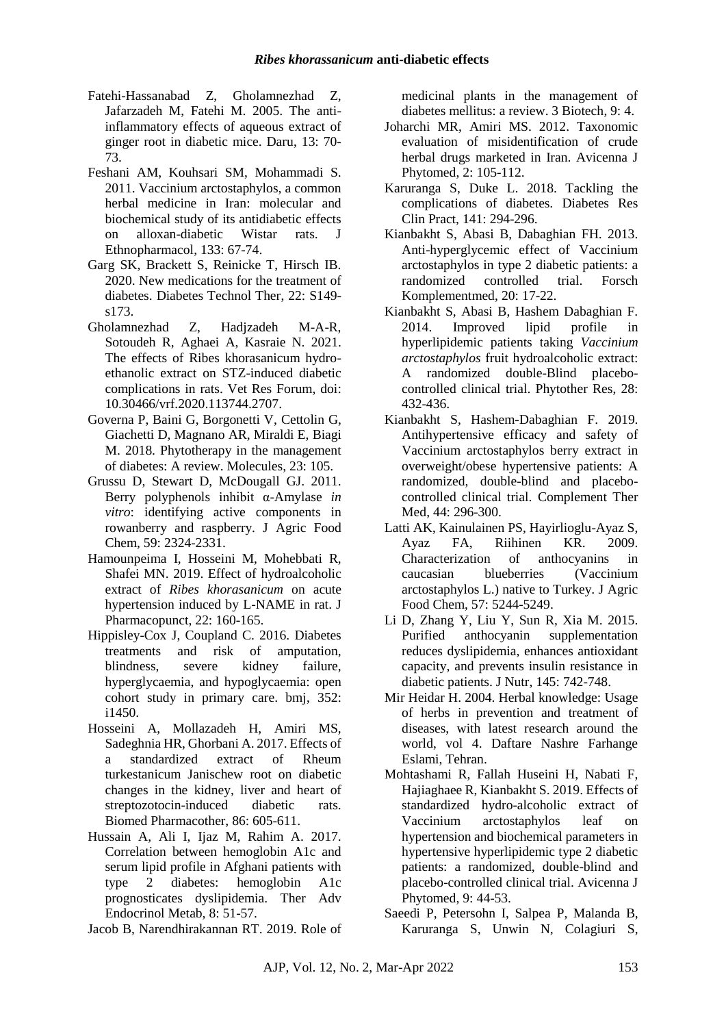- Fatehi-Hassanabad Z, Gholamnezhad Z, Jafarzadeh M, Fatehi M. 2005. The antiinflammatory effects of aqueous extract of ginger root in diabetic mice. Daru, 13: 70- 73.
- Feshani AM, Kouhsari SM, Mohammadi S. 2011. Vaccinium arctostaphylos, a common herbal medicine in Iran: molecular and biochemical study of its antidiabetic effects on alloxan-diabetic Wistar rats. J Ethnopharmacol, 133: 67-74.
- Garg SK, Brackett S, Reinicke T, Hirsch IB. 2020. New medications for the treatment of diabetes. Diabetes Technol Ther, 22: S149 s173.
- Gholamnezhad Z, Hadjzadeh M-A-R, Sotoudeh R, Aghaei A, Kasraie N. 2021. The effects of Ribes khorasanicum hydroethanolic extract on STZ-induced diabetic complications in rats. Vet Res Forum, doi: 10.30466/vrf.2020.113744.2707.
- Governa P, Baini G, Borgonetti V, Cettolin G, Giachetti D, Magnano AR, Miraldi E, Biagi M. 2018. Phytotherapy in the management of diabetes: A review. Molecules, 23: 105.
- Grussu D, Stewart D, McDougall GJ. 2011. Berry polyphenols inhibit α-Amylase *in vitro*: identifying active components in rowanberry and raspberry. J Agric Food Chem, 59: 2324-2331.
- Hamounpeima I, Hosseini M, Mohebbati R, Shafei MN. 2019. Effect of hydroalcoholic extract of *Ribes khorasanicum* on acute hypertension induced by L-NAME in rat. J Pharmacopunct, 22: 160-165.
- Hippisley-Cox J, Coupland C. 2016. Diabetes treatments and risk of amputation, blindness, severe kidney failure, hyperglycaemia, and hypoglycaemia: open cohort study in primary care. bmj, 352: i1450.
- Hosseini A, Mollazadeh H, Amiri MS, Sadeghnia HR, Ghorbani A. 2017. Effects of a standardized extract of Rheum turkestanicum Janischew root on diabetic changes in the kidney, liver and heart of streptozotocin-induced diabetic rats. Biomed Pharmacother, 86: 605-611.
- Hussain A, Ali I, Ijaz M, Rahim A. 2017. Correlation between hemoglobin A1c and serum lipid profile in Afghani patients with type 2 diabetes: hemoglobin A1c prognosticates dyslipidemia. Ther Adv Endocrinol Metab, 8: 51-57.

Jacob B, Narendhirakannan RT. 2019. Role of

medicinal plants in the management of diabetes mellitus: a review. 3 Biotech, 9: 4.

- Joharchi MR, Amiri MS. 2012. Taxonomic evaluation of misidentification of crude herbal drugs marketed in Iran. Avicenna J Phytomed, 2: 105-112.
- Karuranga S, Duke L. 2018. Tackling the complications of diabetes. Diabetes Res Clin Pract, 141: 294-296.
- Kianbakht S, Abasi B, Dabaghian FH. 2013. Anti-hyperglycemic effect of Vaccinium arctostaphylos in type 2 diabetic patients: a randomized controlled trial. Forsch Komplementmed, 20: 17-22.
- Kianbakht S, Abasi B, Hashem Dabaghian F. 2014. Improved lipid profile in hyperlipidemic patients taking *Vaccinium arctostaphylos* fruit hydroalcoholic extract: A randomized double-Blind placebocontrolled clinical trial. Phytother Res, 28: 432-436.
- Kianbakht S, Hashem-Dabaghian F. 2019. Antihypertensive efficacy and safety of Vaccinium arctostaphylos berry extract in overweight/obese hypertensive patients: A randomized, double-blind and placebocontrolled clinical trial. Complement Ther Med, 44: 296-300.
- Latti AK, Kainulainen PS, Hayirlioglu-Ayaz S, Ayaz FA, Riihinen KR. 2009. Characterization of anthocyanins in caucasian blueberries (Vaccinium arctostaphylos L.) native to Turkey. J Agric Food Chem, 57: 5244-5249.
- Li D, Zhang Y, Liu Y, Sun R, Xia M. 2015. Purified anthocyanin supplementation reduces dyslipidemia, enhances antioxidant capacity, and prevents insulin resistance in diabetic patients. J Nutr, 145: 742-748.
- Mir Heidar H. 2004. Herbal knowledge: Usage of herbs in prevention and treatment of diseases, with latest research around the world, vol 4. Daftare Nashre Farhange Eslami, Tehran.
- Mohtashami R, Fallah Huseini H, Nabati F, Hajiaghaee R, Kianbakht S. 2019. Effects of standardized hydro-alcoholic extract of Vaccinium arctostaphylos leaf on hypertension and biochemical parameters in hypertensive hyperlipidemic type 2 diabetic patients: a randomized, double-blind and placebo-controlled clinical trial. Avicenna J Phytomed, 9: 44-53.
- Saeedi P, Petersohn I, Salpea P, Malanda B, Karuranga S, Unwin N, Colagiuri S,